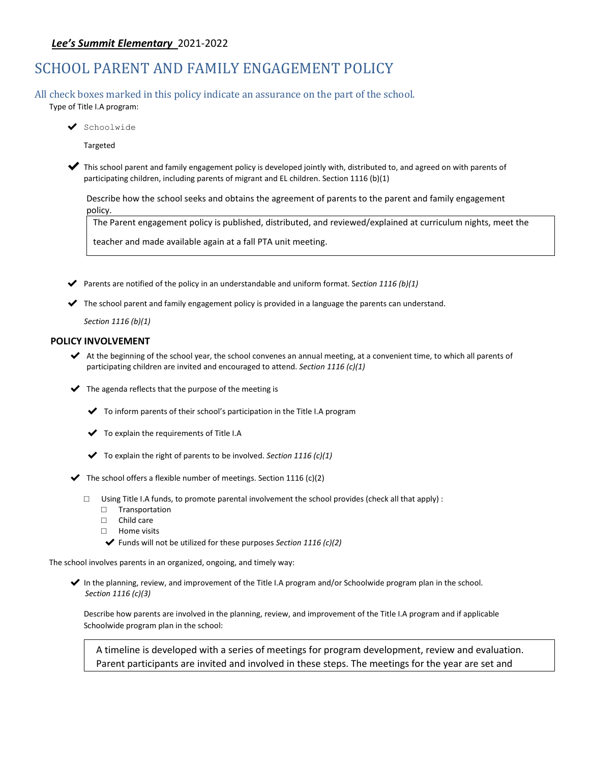# *Lee's Summit Elementary* 2021-2022

# SCHOOL PARENT AND FAMILY ENGAGEMENT POLICY

All check boxes marked in this policy indicate an assurance on the part of the school. Type of Title I.A program:

◆ Schoolwide

Targeted

✔ This school parent and family engagement policy is developed jointly with, distributed to, and agreed on with parents of participating children, including parents of migrant and EL children. Section 1116 (b)(1)

Describe how the school seeks and obtains the agreement of parents to the parent and family engagement policy.

The Parent engagement policy is published, distributed, and reviewed/explained at curriculum nights, meet the

teacher and made available again at a fall PTA unit meeting.

- ✔ Parents are notified of the policy in an understandable and uniform format. S*ection 1116 (b)(1)*
- ✔ The school parent and family engagement policy is provided in a language the parents can understand.

*Section 1116 (b)(1)*

#### **POLICY INVOLVEMENT**

- $\blacktriangleright$  At the beginning of the school year, the school convenes an annual meeting, at a convenient time, to which all parents of participating children are invited and encouraged to attend. *Section 1116 (c)(1)*
- $\blacktriangleright$  The agenda reflects that the purpose of the meeting is
	- $\blacktriangleright$  To inform parents of their school's participation in the Title I.A program
	- ✔ To explain the requirements of Title I.A
	- ✔ To explain the right of parents to be involved. *Section 1116 (c)(1)*
- $\blacktriangleright$  The school offers a flexible number of meetings. Section 1116 (c)(2)
	- $\Box$  Using Title I.A funds, to promote parental involvement the school provides (check all that apply) :
		- □ Transportation
		- □ Child care
		- □ Home visits
		- ✔ Funds will not be utilized for these purposes *Section 1116 (c)(2)*

The school involves parents in an organized, ongoing, and timely way:

✔ In the planning, review, and improvement of the Title I.A program and/or Schoolwide program plan in the school.  *Section 1116 (c)(3)*

Describe how parents are involved in the planning, review, and improvement of the Title I.A program and if applicable Schoolwide program plan in the school:

A timeline is developed with a series of meetings for program development, review and evaluation. Parent participants are invited and involved in these steps. The meetings for the year are set and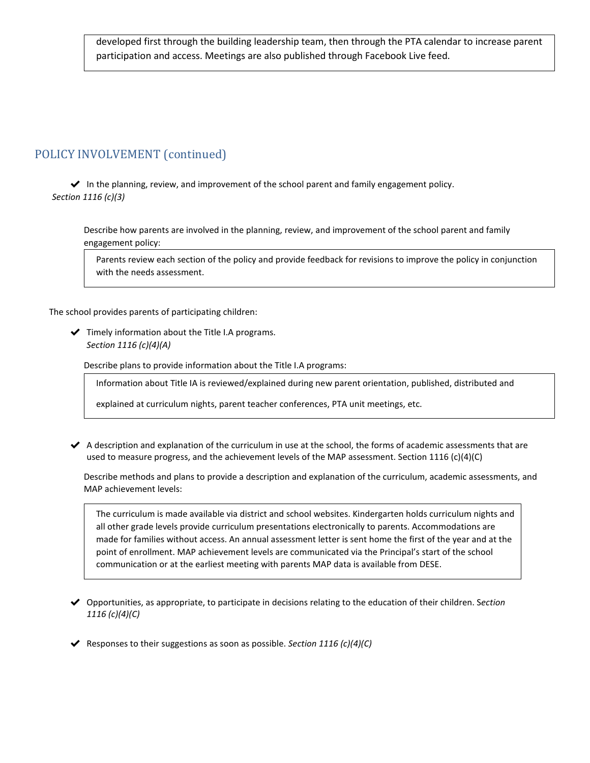developed first through the building leadership team, then through the PTA calendar to increase parent participation and access. Meetings are also published through Facebook Live feed.

# POLICY INVOLVEMENT (continued)

✔ In the planning, review, and improvement of the school parent and family engagement policy. *Section 1116 (c)(3)*

Describe how parents are involved in the planning, review, and improvement of the school parent and family engagement policy:

Parents review each section of the policy and provide feedback for revisions to improve the policy in conjunction with the needs assessment.

The school provides parents of participating children:

 $\blacktriangleright$  Timely information about the Title I.A programs. *Section 1116 (c)(4)(A)*

Describe plans to provide information about the Title I.A programs:

Information about Title IA is reviewed/explained during new parent orientation, published, distributed and

explained at curriculum nights, parent teacher conferences, PTA unit meetings, etc.

✔ A description and explanation of the curriculum in use at the school, the forms of academic assessments that are used to measure progress, and the achievement levels of the MAP assessment. Section 1116 (c)(4)(C)

Describe methods and plans to provide a description and explanation of the curriculum, academic assessments, and MAP achievement levels:

The curriculum is made available via district and school websites. Kindergarten holds curriculum nights and all other grade levels provide curriculum presentations electronically to parents. Accommodations are made for families without access. An annual assessment letter is sent home the first of the year and at the point of enrollment. MAP achievement levels are communicated via the Principal's start of the school communication or at the earliest meeting with parents MAP data is available from DESE.

- ✔ Opportunities, as appropriate, to participate in decisions relating to the education of their children. S*ection 1116 (c)(4)(C)*
- ✔ Responses to their suggestions as soon as possible. *Section 1116 (c)(4)(C)*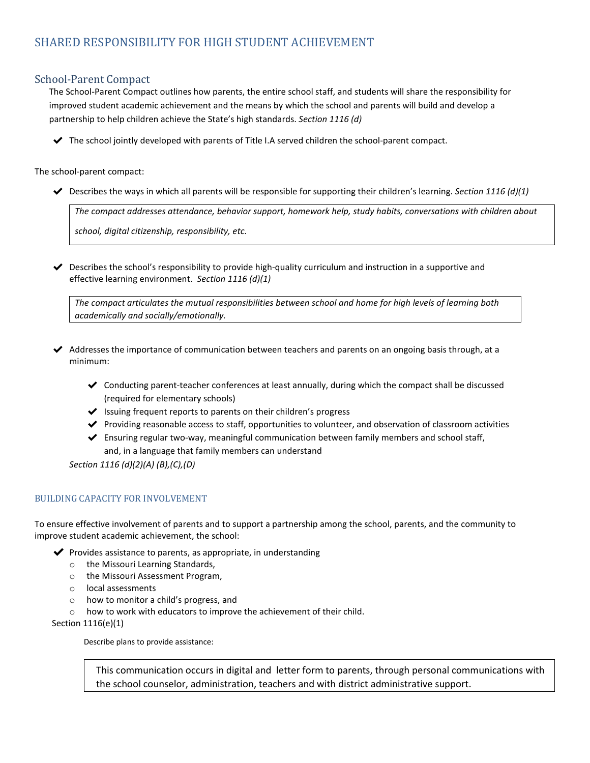# School-Parent Compact

The School-Parent Compact outlines how parents, the entire school staff, and students will share the responsibility for improved student academic achievement and the means by which the school and parents will build and develop a partnership to help children achieve the State's high standards. *Section 1116 (d)*

 $\blacktriangleright$  The school jointly developed with parents of Title I.A served children the school-parent compact.

The school-parent compact:

 $\blacktriangleright$  Describes the ways in which all parents will be responsible for supporting their children's learning. *Section 1116 (d)(1)* 

*The compact addresses attendance, behavior support, homework help, study habits, conversations with children about*

*school, digital citizenship, responsibility, etc.*

 $\blacktriangledown$  Describes the school's responsibility to provide high-quality curriculum and instruction in a supportive and effective learning environment. *Section 1116 (d)(1)*

*The compact articulates the mutual responsibilities between school and home for high levels of learning both academically and socially/emotionally.*

- ✔ Addresses the importance of communication between teachers and parents on an ongoing basis through, at a minimum:
	- ✔ Conducting parent-teacher conferences at least annually, during which the compact shall be discussed (required for elementary schools)
	- $\blacktriangleright$  Issuing frequent reports to parents on their children's progress
	- ✔ Providing reasonable access to staff, opportunities to volunteer, and observation of classroom activities
	- ✔ Ensuring regular two-way, meaningful communication between family members and school staff, and, in a language that family members can understand

*Section 1116 (d)(2)(A) (B),(C),(D)*

## BUILDING CAPACITY FOR INVOLVEMENT

To ensure effective involvement of parents and to support a partnership among the school, parents, and the community to improve student academic achievement, the school:

- $\blacktriangleright$  Provides assistance to parents, as appropriate, in understanding
	- o the Missouri Learning Standards,
	- o the Missouri Assessment Program,
	- o local assessments
	- o how to monitor a child's progress, and
	- o how to work with educators to improve the achievement of their child.

Section 1116(e)(1)

Describe plans to provide assistance:

This communication occurs in digital and letter form to parents, through personal communications with the school counselor, administration, teachers and with district administrative support.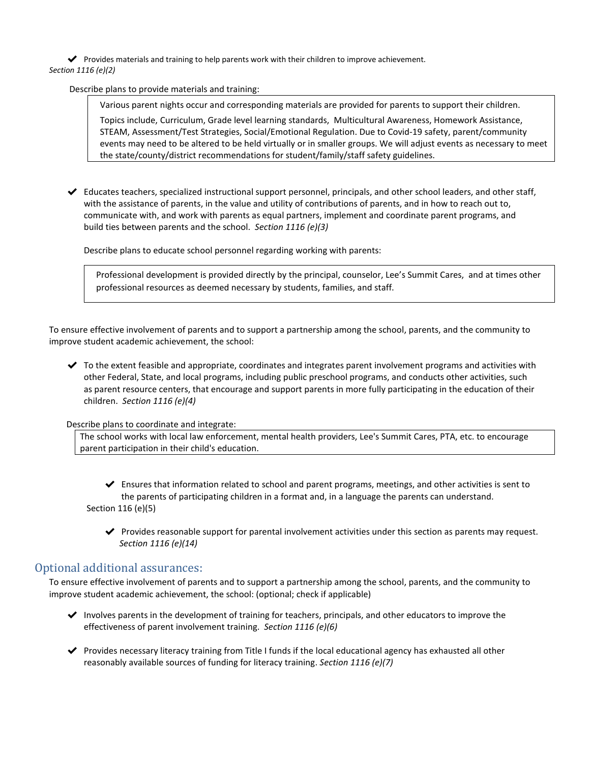◆ Provides materials and training to help parents work with their children to improve achievement. *Section 1116 (e)(2)*

Describe plans to provide materials and training:

Various parent nights occur and corresponding materials are provided for parents to support their children.

Topics include, Curriculum, Grade level learning standards, Multicultural Awareness, Homework Assistance, STEAM, Assessment/Test Strategies, Social/Emotional Regulation. Due to Covid-19 safety, parent/community events may need to be altered to be held virtually or in smaller groups. We will adjust events as necessary to meet the state/county/district recommendations for student/family/staff safety guidelines.

✔ Educates teachers, specialized instructional support personnel, principals, and other school leaders, and other staff, with the assistance of parents, in the value and utility of contributions of parents, and in how to reach out to, communicate with, and work with parents as equal partners, implement and coordinate parent programs, and build ties between parents and the school. *Section 1116 (e)(3)*

Describe plans to educate school personnel regarding working with parents:

Professional development is provided directly by the principal, counselor, Lee's Summit Cares, and at times other professional resources as deemed necessary by students, families, and staff.

To ensure effective involvement of parents and to support a partnership among the school, parents, and the community to improve student academic achievement, the school:

✔ To the extent feasible and appropriate, coordinates and integrates parent involvement programs and activities with other Federal, State, and local programs, including public preschool programs, and conducts other activities, such as parent resource centers, that encourage and support parents in more fully participating in the education of their children. *Section 1116 (e)(4)*

Describe plans to coordinate and integrate:

The school works with local law enforcement, mental health providers, Lee's Summit Cares, PTA, etc. to encourage parent participation in their child's education.

 $\blacktriangleright$  Ensures that information related to school and parent programs, meetings, and other activities is sent to the parents of participating children in a format and, in a language the parents can understand. Section 116 (e)(5)

 $\blacktriangledown$  Provides reasonable support for parental involvement activities under this section as parents may request. *Section 1116 (e)(14)*

# Optional additional assurances:

To ensure effective involvement of parents and to support a partnership among the school, parents, and the community to improve student academic achievement, the school: (optional; check if applicable)

- ✔ Involves parents in the development of training for teachers, principals, and other educators to improve the effectiveness of parent involvement training. *Section 1116 (e)(6)*
- ✔ Provides necessary literacy training from Title I funds if the local educational agency has exhausted all other reasonably available sources of funding for literacy training. *Section 1116 (e)(7)*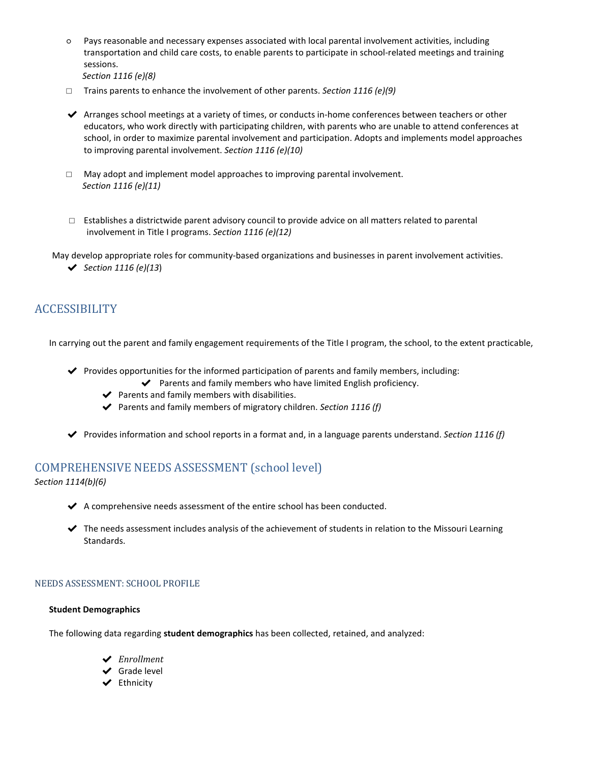○ Pays reasonable and necessary expenses associated with local parental involvement activities, including transportation and child care costs, to enable parents to participate in school-related meetings and training sessions.

```
Section 1116 (e)(8)
```
- □ Trains parents to enhance the involvement of other parents. *Section 1116 (e)(9)*
- ◆ Arranges school meetings at a variety of times, or conducts in-home conferences between teachers or other educators, who work directly with participating children, with parents who are unable to attend conferences at school, in order to maximize parental involvement and participation. Adopts and implements model approaches to improving parental involvement. *Section 1116 (e)(10)*
- $\Box$  May adopt and implement model approaches to improving parental involvement. *Section 1116 (e)(11)*
- $\square$  Establishes a districtwide parent advisory council to provide advice on all matters related to parental involvement in Title I programs. *Section 1116 (e)(12)*

May develop appropriate roles for community-based organizations and businesses in parent involvement activities.

✔ *Section 1116 (e)(13*)

# **ACCESSIBILITY**

In carrying out the parent and family engagement requirements of the Title I program, the school, to the extent practicable,

- ✔ Provides opportunities for the informed participation of parents and family members, including:
	- $\blacktriangleright$  Parents and family members who have limited English proficiency.
	- $\blacktriangleright$  Parents and family members with disabilities.
	- ✔ Parents and family members of migratory children. *Section 1116 (f)*
- ✔ Provides information and school reports in a format and, in a language parents understand. *Section 1116 (f)*

# COMPREHENSIVE NEEDS ASSESSMENT (school level)

*Section 1114(b)(6)* 

- ✔ A comprehensive needs assessment of the entire school has been conducted.
- ✔ The needs assessment includes analysis of the achievement of students in relation to the Missouri Learning Standards.

#### NEEDS ASSESSMENT: SCHOOL PROFILE

#### **Student Demographics**

The following data regarding **student demographics** has been collected, retained, and analyzed:

- ✔ *Enrollment*
- ✔ Grade level
- ✔ Ethnicity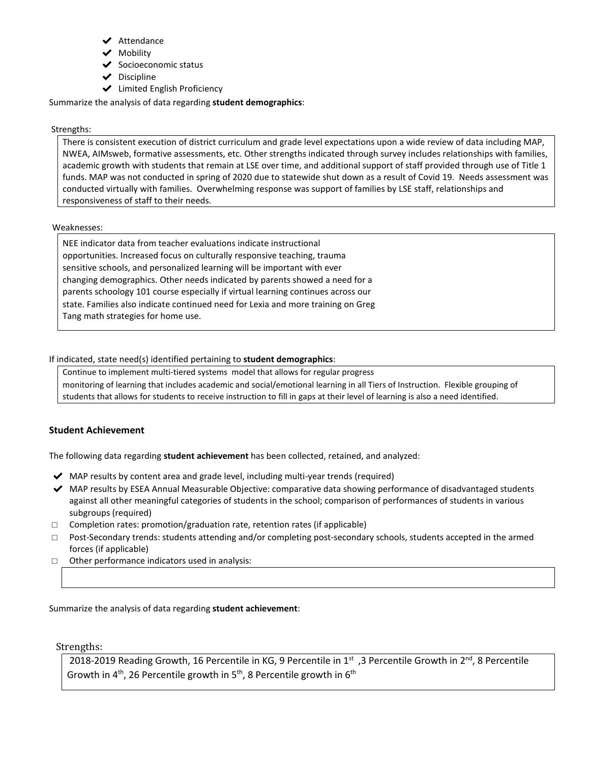- ✔ Attendance
- ✔ Mobility
- ◆ Socioeconomic status
- $\triangleright$  Discipline
- ✔ Limited English Proficiency

Summarize the analysis of data regarding **student demographics**:

#### Strengths:

There is consistent execution of district curriculum and grade level expectations upon a wide review of data including MAP, NWEA, AIMsweb, formative assessments, etc. Other strengths indicated through survey includes relationships with families, academic growth with students that remain at LSE over time, and additional support of staff provided through use of Title 1 funds. MAP was not conducted in spring of 2020 due to statewide shut down as a result of Covid 19. Needs assessment was conducted virtually with families. Overwhelming response was support of families by LSE staff, relationships and responsiveness of staff to their needs.

#### Weaknesses:

NEE indicator data from teacher evaluations indicate instructional opportunities. Increased focus on culturally responsive teaching, trauma sensitive schools, and personalized learning will be important with ever changing demographics. Other needs indicated by parents showed a need for a parents schoology 101 course especially if virtual learning continues across our state. Families also indicate continued need for Lexia and more training on Greg Tang math strategies for home use.

### If indicated, state need(s) identified pertaining to **student demographics**:

Continue to implement multi-tiered systems model that allows for regular progress monitoring of learning that includes academic and social/emotional learning in all Tiers of Instruction. Flexible grouping of students that allows for students to receive instruction to fill in gaps at their level of learning is also a need identified.

## **Student Achievement**

The following data regarding **student achievement** has been collected, retained, and analyzed:

- ◆ MAP results by content area and grade level, including multi-year trends (required)
- ◆ MAP results by ESEA Annual Measurable Objective: comparative data showing performance of disadvantaged students against all other meaningful categories of students in the school; comparison of performances of students in various subgroups (required)
- □ Completion rates: promotion/graduation rate, retention rates (if applicable)
- □ Post-Secondary trends: students attending and/or completing post-secondary schools, students accepted in the armed forces (if applicable)
- □ Other performance indicators used in analysis:

Summarize the analysis of data regarding **student achievement**:

Strengths:

2018-2019 Reading Growth, 16 Percentile in KG, 9 Percentile in 1<sup>st</sup>, 3 Percentile Growth in 2<sup>nd</sup>, 8 Percentile Growth in  $4^{\text{th}}$ , 26 Percentile growth in 5<sup>th</sup>, 8 Percentile growth in 6<sup>th</sup>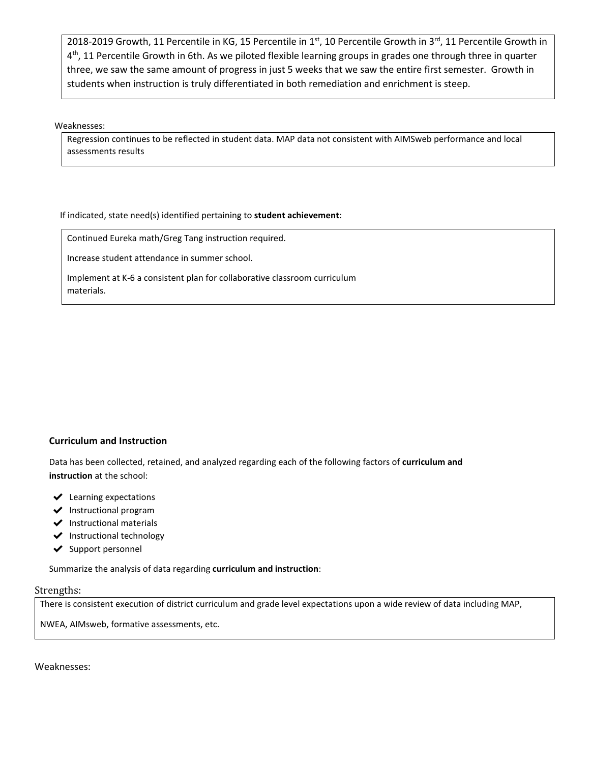2018-2019 Growth, 11 Percentile in KG, 15 Percentile in 1<sup>st</sup>, 10 Percentile Growth in 3<sup>rd</sup>, 11 Percentile Growth in 4<sup>th</sup>, 11 Percentile Growth in 6th. As we piloted flexible learning groups in grades one through three in quarter three, we saw the same amount of progress in just 5 weeks that we saw the entire first semester. Growth in students when instruction is truly differentiated in both remediation and enrichment is steep.

Weaknesses:

Regression continues to be reflected in student data. MAP data not consistent with AIMSweb performance and local assessments results

If indicated, state need(s) identified pertaining to **student achievement**:

Continued Eureka math/Greg Tang instruction required.

Increase student attendance in summer school.

Implement at K-6 a consistent plan for collaborative classroom curriculum materials.

#### **Curriculum and Instruction**

Data has been collected, retained, and analyzed regarding each of the following factors of **curriculum and instruction** at the school:

- $\blacktriangleright$  Learning expectations
- ✔ Instructional program
- ✔ Instructional materials
- ✔ Instructional technology
- ✔ Support personnel

Summarize the analysis of data regarding **curriculum and instruction**:

#### Strengths:

There is consistent execution of district curriculum and grade level expectations upon a wide review of data including MAP,

NWEA, AIMsweb, formative assessments, etc.

Weaknesses: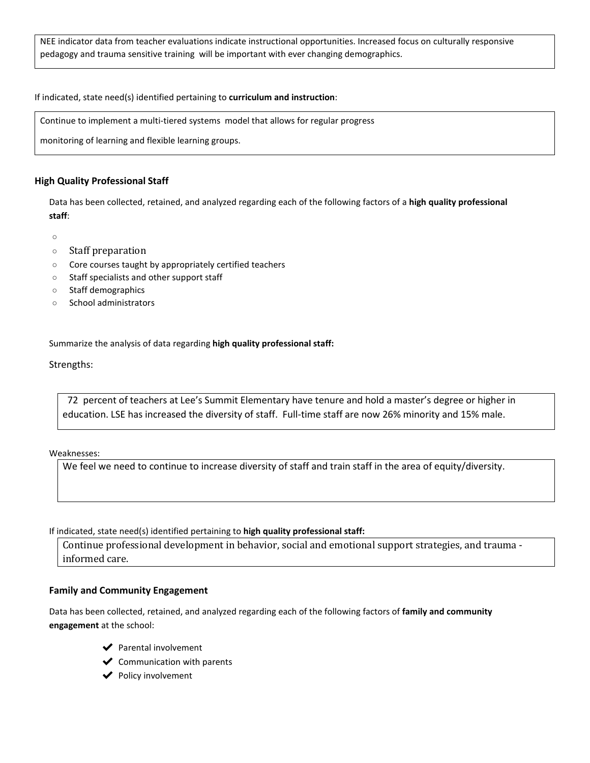NEE indicator data from teacher evaluations indicate instructional opportunities. Increased focus on culturally responsive pedagogy and trauma sensitive training will be important with ever changing demographics.

If indicated, state need(s) identified pertaining to **curriculum and instruction**:

Continue to implement a multi-tiered systems model that allows for regular progress

monitoring of learning and flexible learning groups.

#### **High Quality Professional Staff**

Data has been collected, retained, and analyzed regarding each of the following factors of a **high quality professional staff**:

 $\circ$ 

- Staff preparation
- Core courses taught by appropriately certified teachers
- Staff specialists and other support staff
- Staff demographics
- School administrators

Summarize the analysis of data regarding **high quality professional staff:**

Strengths:

 72 percent of teachers at Lee's Summit Elementary have tenure and hold a master's degree or higher in education. LSE has increased the diversity of staff. Full-time staff are now 26% minority and 15% male.

Weaknesses:

We feel we need to continue to increase diversity of staff and train staff in the area of equity/diversity.

If indicated, state need(s) identified pertaining to **high quality professional staff:**

Continue professional development in behavior, social and emotional support strategies, and trauma informed care.

#### **Family and Community Engagement**

Data has been collected, retained, and analyzed regarding each of the following factors of **family and community engagement** at the school:

- ◆ Parental involvement
- $\blacktriangleright$  Communication with parents
- ✔ Policy involvement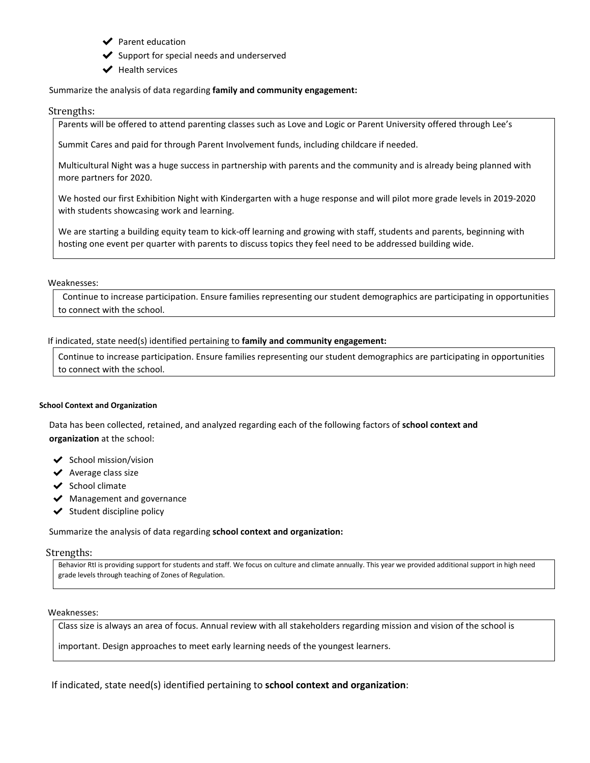- ✔ Parent education
- $\blacktriangleright$  Support for special needs and underserved
- ✔ Health services

#### Summarize the analysis of data regarding **family and community engagement:**

#### Strengths:

Parents will be offered to attend parenting classes such as Love and Logic or Parent University offered through Lee's

Summit Cares and paid for through Parent Involvement funds, including childcare if needed.

Multicultural Night was a huge success in partnership with parents and the community and is already being planned with more partners for 2020.

We hosted our first Exhibition Night with Kindergarten with a huge response and will pilot more grade levels in 2019-2020 with students showcasing work and learning.

We are starting a building equity team to kick-off learning and growing with staff, students and parents, beginning with hosting one event per quarter with parents to discuss topics they feel need to be addressed building wide.

#### Weaknesses:

 Continue to increase participation. Ensure families representing our student demographics are participating in opportunities to connect with the school.

#### If indicated, state need(s) identified pertaining to **family and community engagement:**

Continue to increase participation. Ensure families representing our student demographics are participating in opportunities to connect with the school.

#### **School Context and Organization**

Data has been collected, retained, and analyzed regarding each of the following factors of **school context and organization** at the school:

- $\checkmark$  School mission/vision
- $\vee$  Average class size
- ◆ School climate
- ◆ Management and governance
- $\checkmark$  Student discipline policy

Summarize the analysis of data regarding **school context and organization:**

#### Strengths:

Behavior RtI is providing support for students and staff. We focus on culture and climate annually. This year we provided additional support in high need grade levels through teaching of Zones of Regulation.

#### Weaknesses:

Class size is always an area of focus. Annual review with all stakeholders regarding mission and vision of the school is

important. Design approaches to meet early learning needs of the youngest learners.

If indicated, state need(s) identified pertaining to **school context and organization**: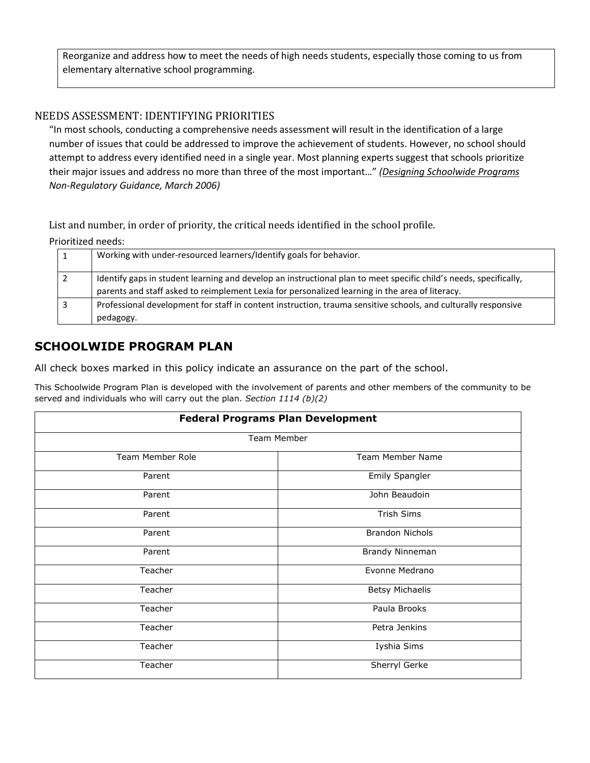Reorganize and address how to meet the needs of high needs students, especially those coming to us from elementary alternative school programming.

# NEEDS ASSESSMENT: IDENTIFYING PRIORITIES

"In most schools, conducting a comprehensive needs assessment will result in the identification of a large number of issues that could be addressed to improve the achievement of students. However, no school should attempt to address every identified need in a single year. Most planning experts suggest that schools prioritize their major issues and address no more than three of the most important…" *[\(Designing Schoolwide Programs](http://dese.mo.gov/sites/default/files/Schoolwide_Plan_03_06.pdf)  Non-Regulatory Guidance, March 2006)*

List and number, in order of priority, the critical needs identified in the school profile.

Prioritized needs:

| Working with under-resourced learners/Identify goals for behavior.                                                                                                                                                   |
|----------------------------------------------------------------------------------------------------------------------------------------------------------------------------------------------------------------------|
| Identify gaps in student learning and develop an instructional plan to meet specific child's needs, specifically,<br>parents and staff asked to reimplement Lexia for personalized learning in the area of literacy. |
| Professional development for staff in content instruction, trauma sensitive schools, and culturally responsive<br>pedagogy.                                                                                          |

# **SCHOOLWIDE PROGRAM PLAN**

All check boxes marked in this policy indicate an assurance on the part of the school.

This Schoolwide Program Plan is developed with the involvement of parents and other members of the community to be served and individuals who will carry out the plan. *Section 1114 (b)(2)*

| <b>Federal Programs Plan Development</b> |                        |  |  |  |
|------------------------------------------|------------------------|--|--|--|
| Team Member                              |                        |  |  |  |
| Team Member Role                         | Team Member Name       |  |  |  |
| Parent                                   | Emily Spangler         |  |  |  |
| Parent                                   | John Beaudoin          |  |  |  |
| Parent                                   | Trish Sims             |  |  |  |
| Parent                                   | <b>Brandon Nichols</b> |  |  |  |
| Parent                                   | Brandy Ninneman        |  |  |  |
| Teacher                                  | Evonne Medrano         |  |  |  |
| Teacher                                  | <b>Betsy Michaelis</b> |  |  |  |
| Teacher                                  | Paula Brooks           |  |  |  |
| Teacher                                  | Petra Jenkins          |  |  |  |
| Teacher                                  | Iyshia Sims            |  |  |  |
| Teacher                                  | Sherryl Gerke          |  |  |  |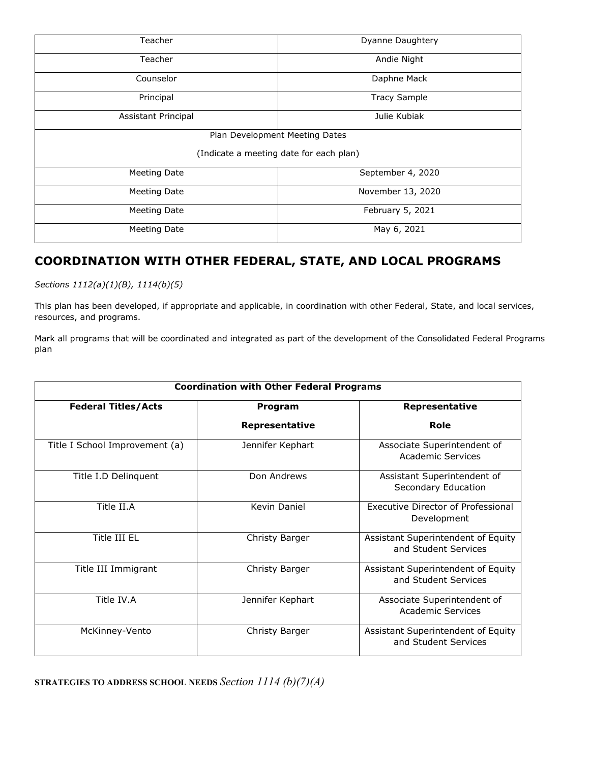| Teacher                                 | Dyanne Daughtery    |  |  |
|-----------------------------------------|---------------------|--|--|
| Teacher                                 | Andie Night         |  |  |
| Counselor                               | Daphne Mack         |  |  |
| Principal                               | <b>Tracy Sample</b> |  |  |
| Assistant Principal                     | Julie Kubiak        |  |  |
| Plan Development Meeting Dates          |                     |  |  |
| (Indicate a meeting date for each plan) |                     |  |  |
| Meeting Date                            | September 4, 2020   |  |  |
| Meeting Date                            | November 13, 2020   |  |  |
| Meeting Date                            | February 5, 2021    |  |  |
| <b>Meeting Date</b>                     | May 6, 2021         |  |  |

# **COORDINATION WITH OTHER FEDERAL, STATE, AND LOCAL PROGRAMS**

*Sections 1112(a)(1)(B), 1114(b)(5)*

This plan has been developed, if appropriate and applicable, in coordination with other Federal, State, and local services, resources, and programs.

Mark all programs that will be coordinated and integrated as part of the development of the Consolidated Federal Programs plan

| <b>Coordination with Other Federal Programs</b> |                       |                                                            |  |  |
|-------------------------------------------------|-----------------------|------------------------------------------------------------|--|--|
| <b>Federal Titles/Acts</b>                      | Program               | Representative                                             |  |  |
|                                                 | <b>Representative</b> | Role                                                       |  |  |
| Title I School Improvement (a)                  | Jennifer Kephart      | Associate Superintendent of<br><b>Academic Services</b>    |  |  |
| Title I.D Delinguent                            | Don Andrews           | Assistant Superintendent of<br>Secondary Education         |  |  |
| Title II.A                                      | Kevin Daniel          | Executive Director of Professional<br>Development          |  |  |
| Title III EL                                    | Christy Barger        | Assistant Superintendent of Equity<br>and Student Services |  |  |
| Title III Immigrant                             | Christy Barger        | Assistant Superintendent of Equity<br>and Student Services |  |  |
| Title IV.A                                      | Jennifer Kephart      | Associate Superintendent of<br><b>Academic Services</b>    |  |  |
| McKinney-Vento                                  | Christy Barger        | Assistant Superintendent of Equity<br>and Student Services |  |  |

**STRATEGIES TO ADDRESS SCHOOL NEEDS** *Section 1114 (b)(7)(A)*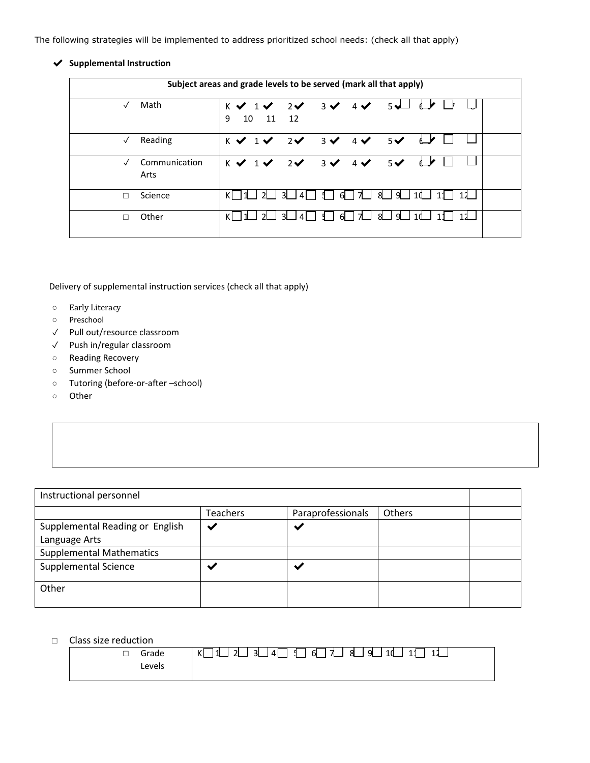The following strategies will be implemented to address prioritized school needs: (check all that apply)

### ✔ **Supplemental Instruction**

| Subject areas and grade levels to be served (mark all that apply) |                       |                                                                     |                                 |                                          |                |  |
|-------------------------------------------------------------------|-----------------------|---------------------------------------------------------------------|---------------------------------|------------------------------------------|----------------|--|
|                                                                   | Math                  | $K \vee 1 \vee 2 \vee 3 \vee 4 \vee 5 \vee 6 \vee$<br>10 11 12<br>9 |                                 |                                          |                |  |
|                                                                   | Reading               | $K \vee 1 \vee 2 \vee 3 \vee 4 \vee 5 \vee$                         |                                 |                                          | $\overline{a}$ |  |
|                                                                   | Communication<br>Arts | $K \vee 1 \vee 2 \vee 3 \vee 4 \vee 5 \vee 4$                       |                                 |                                          |                |  |
|                                                                   | Science               |                                                                     |                                 | 「3凵4凵 ℄」6凵 九亅 8凵 9凵 1d凵 11               |                |  |
| п                                                                 | Other                 | -21                                                                 | $\vert$ 4 $\vert$<br>$\cdot$ 31 | $\frac{4}{3}$ 6 7 $\frac{1}{2}$ 8 9 9 10 |                |  |

Delivery of supplemental instruction services (check all that apply)

- Early Literacy
- Preschool
- ✓ Pull out/resource classroom
- ✓ Push in/regular classroom
- Reading Recovery
- Summer School
- Tutoring (before-or-after –school)
- Other

| Instructional personnel         |                 |                          |               |  |
|---------------------------------|-----------------|--------------------------|---------------|--|
|                                 | <b>Teachers</b> | Paraprofessionals        | <b>Others</b> |  |
| Supplemental Reading or English |                 | $\overline{\mathcal{L}}$ |               |  |
| Language Arts                   |                 |                          |               |  |
| <b>Supplemental Mathematics</b> |                 |                          |               |  |
| <b>Supplemental Science</b>     |                 | $\overline{\phantom{a}}$ |               |  |
| Other                           |                 |                          |               |  |

## □ Class size reduction

| Grade         | KI<br>$\mathbf{R}$<br>l 11<br>$\overline{2}$<br>J 41 L<br>11<br>11 |
|---------------|--------------------------------------------------------------------|
| <b>Levels</b> |                                                                    |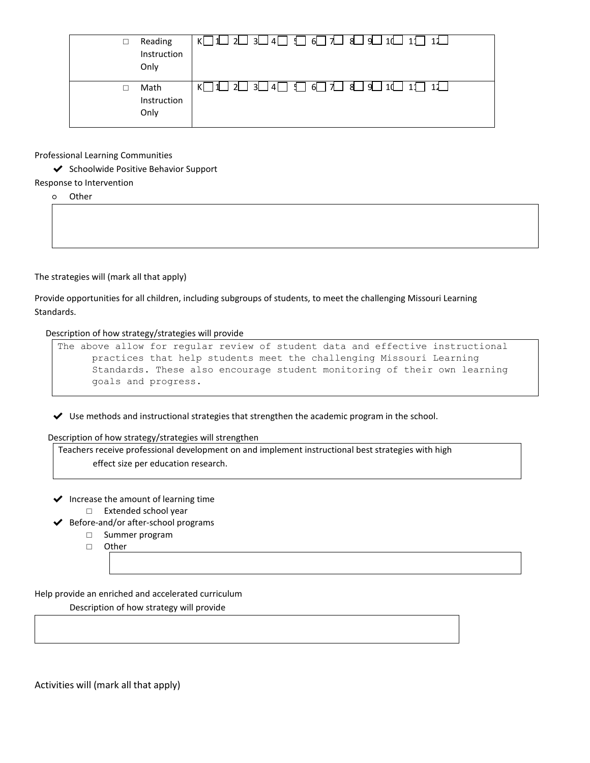| $\Box$ | Reading<br>Instruction<br>Only | 「3∟l4 _I <del>d</del> _i 九 l & _i g _i<br>วเ<br>l 10_<br>11 |
|--------|--------------------------------|-------------------------------------------------------------|
|        | Math<br>Instruction<br>Only    | ิว∣<br>-11<br>` 11 .                                        |

Professional Learning Communities

✔ Schoolwide Positive Behavior Support

Response to Intervention

○ Other

The strategies will (mark all that apply)

Provide opportunities for all children, including subgroups of students, to meet the challenging Missouri Learning Standards.

Description of how strategy/strategies will provide

```
The above allow for regular review of student data and effective instructional 
practices that help students meet the challenging Missouri Learning 
Standards. These also encourage student monitoring of their own learning 
goals and progress.
```
 $\blacktriangleright$  Use methods and instructional strategies that strengthen the academic program in the school.

Description of how strategy/strategies will strengthen

Teachers receive professional development on and implement instructional best strategies with high effect size per education research.

- $\blacktriangleright$  Increase the amount of learning time □ Extended school year
- ✔ Before-and/or after-school programs
	- □ Summer program
	- □ Other

Help provide an enriched and accelerated curriculum

Description of how strategy will provide

Activities will (mark all that apply)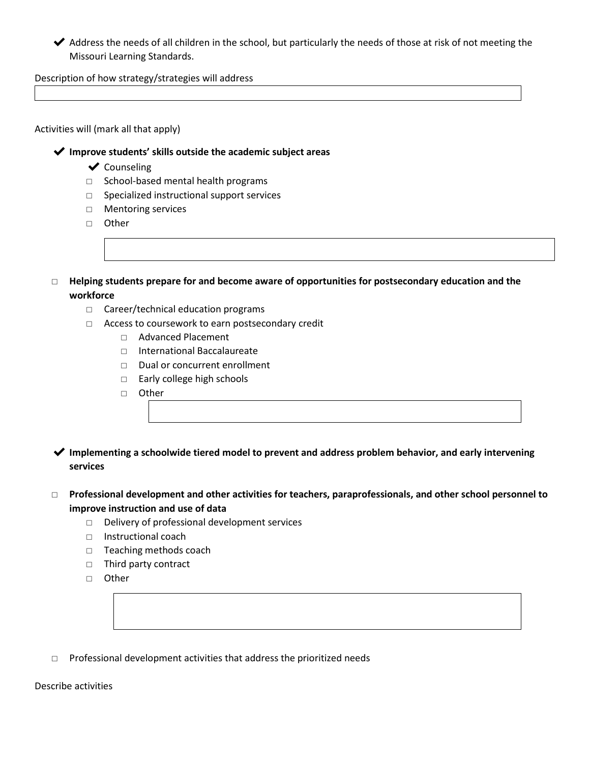◆ Address the needs of all children in the school, but particularly the needs of those at risk of not meeting the Missouri Learning Standards.

Description of how strategy/strategies will address

### Activities will (mark all that apply)

✔ **Improve students' skills outside the academic subject areas**

- ✔ Counseling
- □ School-based mental health programs
- □ Specialized instructional support services
- □ Mentoring services
- □ Other
- □ **Helping students prepare for and become aware of opportunities for postsecondary education and the workforce**
	- □ Career/technical education programs
	- □ Access to coursework to earn postsecondary credit
		- □ Advanced Placement
		- □ International Baccalaureate
		- □ Dual or concurrent enrollment
		- □ Early college high schools
		- □ Other
- ✔ **Implementing a schoolwide tiered model to prevent and address problem behavior, and early intervening services**
- □ **Professional development and other activities for teachers, paraprofessionals, and other school personnel to improve instruction and use of data**
	- □ Delivery of professional development services
	- □ Instructional coach
	- □ Teaching methods coach
	- □ Third party contract
	- □ Other
- □ Professional development activities that address the prioritized needs

#### Describe activities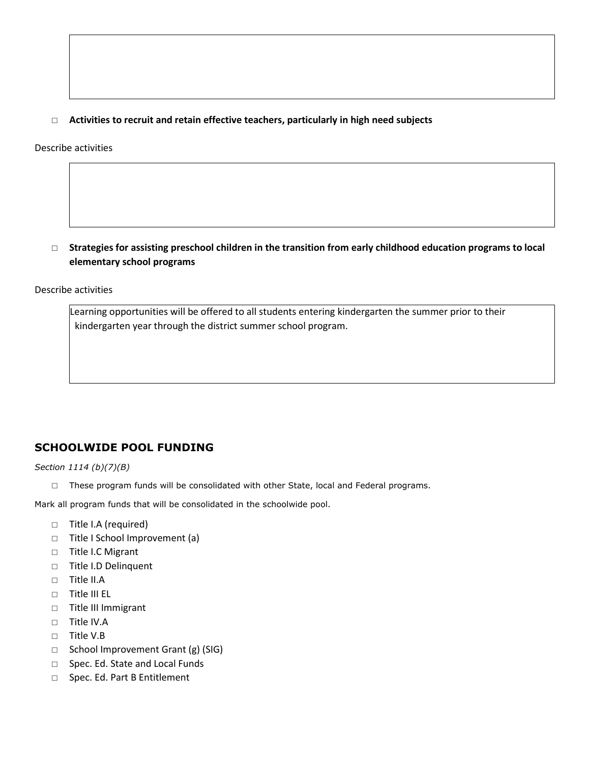## □ **Activities to recruit and retain effective teachers, particularly in high need subjects**

Describe activities



Describe activities

 Learning opportunities will be offered to all students entering kindergarten the summer prior to their kindergarten year through the district summer school program.

# **SCHOOLWIDE POOL FUNDING**

*Section 1114 (b)(7)(B)*

□ These program funds will be consolidated with other State, local and Federal programs.

Mark all program funds that will be consolidated in the schoolwide pool.

- □ Title I.A (required)
- □ Title I School Improvement (a)
- □ Title I.C Migrant
- □ Title I.D Delinquent
- $\neg$  Title II.A
- □ Title III EL
- □ Title III Immigrant
- $\neg$  Title IV.A
- □ Title V.B
- □ School Improvement Grant (g) (SIG)
- □ Spec. Ed. State and Local Funds
- □ Spec. Ed. Part B Entitlement